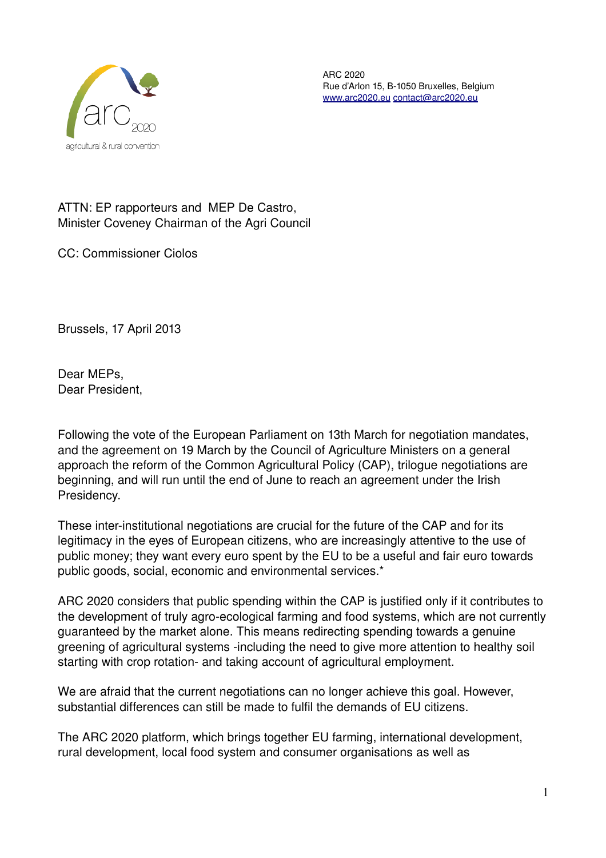

ARC 2020 Rue d'Arlon 15, B-1050 Bruxelles, Belgium [www.arc2020.eu](http://www.arc2020.eu/) [contact@arc2020.eu](mailto:contact@arc2020.eu) 

ATTN: EP rapporteurs and MEP De Castro, Minister Coveney Chairman of the Agri Council

CC: Commissioner Ciolos

Brussels, 17 April 2013

Dear MEPs, Dear President,

Following the vote of the European Parliament on 13th March for negotiation mandates, and the agreement on 19 March by the Council of Agriculture Ministers on a general approach the reform of the Common Agricultural Policy (CAP), trilogue negotiations are beginning, and will run until the end of June to reach an agreement under the Irish Presidency.

These inter-institutional negotiations are crucial for the future of the CAP and for its legitimacy in the eyes of European citizens, who are increasingly attentive to the use of public money; they want every euro spent by the EU to be a useful and fair euro towards public goods, social, economic and environmental services.\*

ARC 2020 considers that public spending within the CAP is justified only if it contributes to the development of truly agro-ecological farming and food systems, which are not currently guaranteed by the market alone. This means redirecting spending towards a genuine greening of agricultural systems -including the need to give more attention to healthy soil starting with crop rotation- and taking account of agricultural employment.

We are afraid that the current negotiations can no longer achieve this goal. However, substantial differences can still be made to fulfil the demands of EU citizens.

The ARC 2020 platform, which brings together EU farming, international development, rural development, local food system and consumer organisations as well as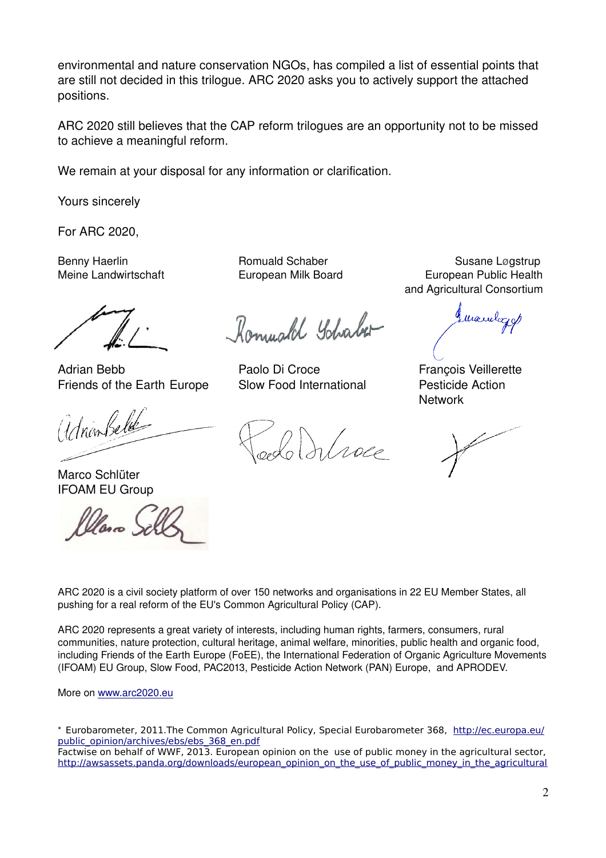environmental and nature conservation NGOs, has compiled a list of essential points that are still not decided in this trilogue. ARC 2020 asks you to actively support the attached positions.

ARC 2020 still believes that the CAP reform trilogues are an opportunity not to be missed to achieve a meaningful reform.

We remain at your disposal for any information or clarification.

Yours sincerely

For ARC 2020,

Adrian Bebb **Paolo Di Croce** François Veillerette Friends of the Earth Europe Slow Food International Pesticide Action

Marco Schlüter IFOAM EU Group

 $\omega$ 

Romuald Yohaber

Misse

Benny Haerlin **Romuald Schaber** Romuald Schaber Susane Løgstrup Meine Landwirtschaft European Milk Board European Public Health and Agricultural Consortium

Mandazy

**Network** 

ARC 2020 is a civil society platform of over 150 networks and organisations in 22 EU Member States, all pushing for a real reform of the EU's Common Agricultural Policy (CAP).

ARC 2020 represents a great variety of interests, including human rights, farmers, consumers, rural communities, nature protection, cultural heritage, animal welfare, minorities, public health and organic food, including Friends of the Earth Europe (FoEE), the International Federation of Organic Agriculture Movements (IFOAM) EU Group, Slow Food, PAC2013, Pesticide Action Network (PAN) Europe, and APRODEV.

More on [www.arc2020.eu](http://www.arc2020.eu/)

\* Eurobarometer, 2011.The Common Agricultural Policy, Special Eurobarometer 368, [http://ec.europa.eu/](http://ec.europa.eu/public_opinion/archives/ebs/ebs_368_en.pdf) [public\\_opinion/archives/ebs/ebs\\_368\\_en.pdf](http://ec.europa.eu/public_opinion/archives/ebs/ebs_368_en.pdf) Factwise on behalf of WWF, 2013. European opinion on the use of public money in the agricultural sector, [http://awsassets.panda.org/downloads/european\\_opinion\\_on\\_the\\_use\\_of\\_public\\_money\\_in\\_the\\_agricultural](http://awsassets.panda.org/downloads/european_opinion_on_the_use_of_public_money_in_the_agricultural_sector_final_with_tables_1.pdf)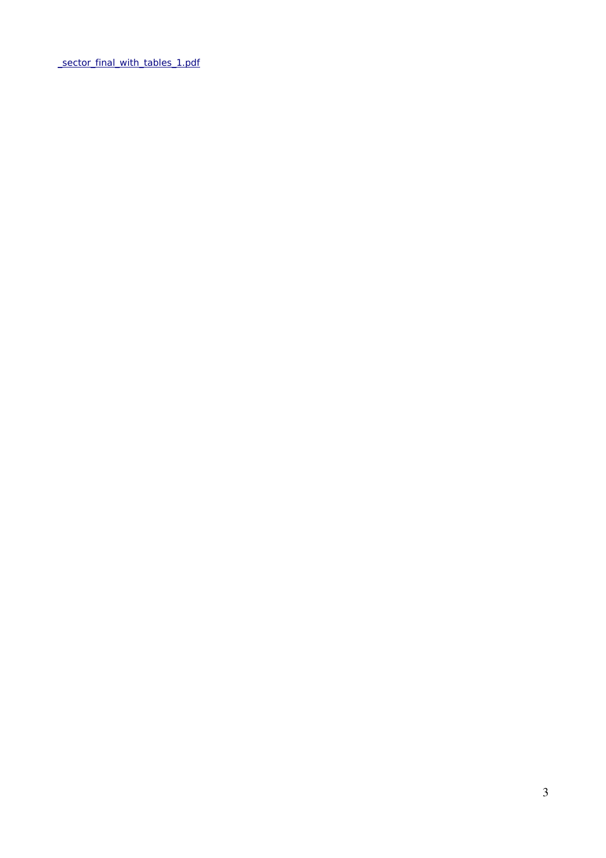[\\_sector\\_final\\_with\\_tables\\_1.pdf](http://awsassets.panda.org/downloads/european_opinion_on_the_use_of_public_money_in_the_agricultural_sector_final_with_tables_1.pdf)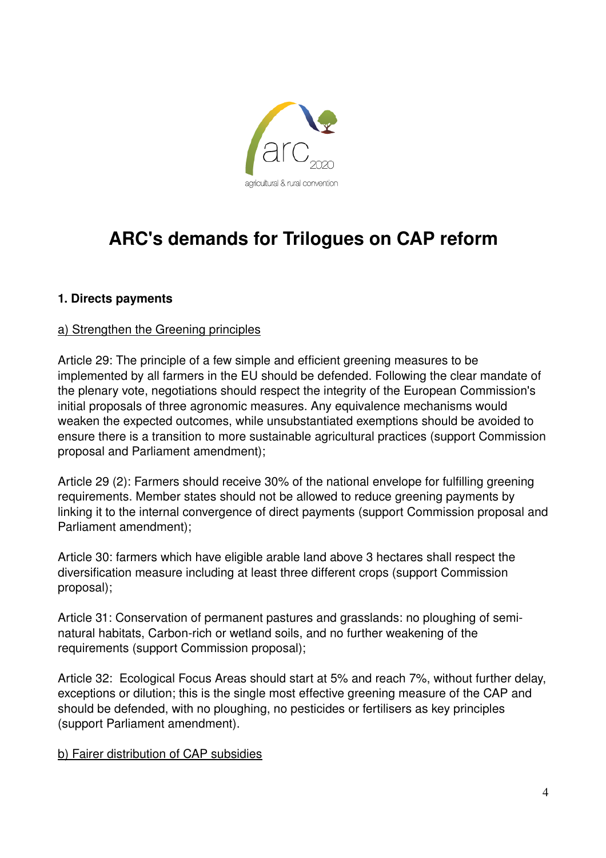

# **ARC's demands for Trilogues on CAP reform**

# **1. Directs payments**

# a) Strengthen the Greening principles

Article 29: The principle of a few simple and efficient greening measures to be implemented by all farmers in the EU should be defended. Following the clear mandate of the plenary vote, negotiations should respect the integrity of the European Commission's initial proposals of three agronomic measures. Any equivalence mechanisms would weaken the expected outcomes, while unsubstantiated exemptions should be avoided to ensure there is a transition to more sustainable agricultural practices (support Commission proposal and Parliament amendment);

Article 29 (2): Farmers should receive 30% of the national envelope for fulfilling greening requirements. Member states should not be allowed to reduce greening payments by linking it to the internal convergence of direct payments (support Commission proposal and Parliament amendment);

Article 30: farmers which have eligible arable land above 3 hectares shall respect the diversification measure including at least three different crops (support Commission proposal);

Article 31: Conservation of permanent pastures and grasslands: no ploughing of seminatural habitats, Carbon-rich or wetland soils, and no further weakening of the requirements (support Commission proposal);

Article 32: Ecological Focus Areas should start at 5% and reach 7%, without further delay, exceptions or dilution; this is the single most effective greening measure of the CAP and should be defended, with no ploughing, no pesticides or fertilisers as key principles (support Parliament amendment).

#### b) Fairer distribution of CAP subsidies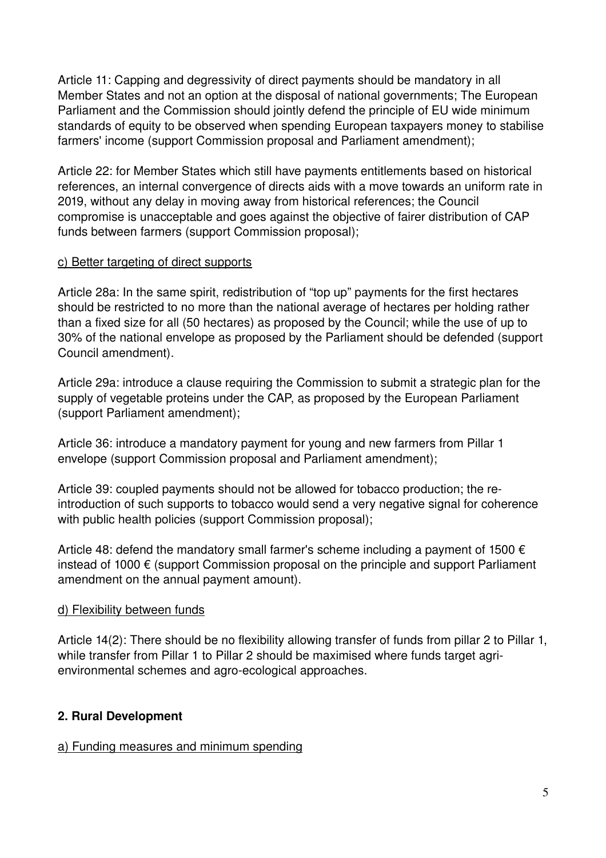Article 11: Capping and degressivity of direct payments should be mandatory in all Member States and not an option at the disposal of national governments; The European Parliament and the Commission should jointly defend the principle of EU wide minimum standards of equity to be observed when spending European taxpayers money to stabilise farmers' income (support Commission proposal and Parliament amendment);

Article 22: for Member States which still have payments entitlements based on historical references, an internal convergence of directs aids with a move towards an uniform rate in 2019, without any delay in moving away from historical references; the Council compromise is unacceptable and goes against the objective of fairer distribution of CAP funds between farmers (support Commission proposal);

# c) Better targeting of direct supports

Article 28a: In the same spirit, redistribution of "top up" payments for the first hectares should be restricted to no more than the national average of hectares per holding rather than a fixed size for all (50 hectares) as proposed by the Council; while the use of up to 30% of the national envelope as proposed by the Parliament should be defended (support Council amendment).

Article 29a: introduce a clause requiring the Commission to submit a strategic plan for the supply of vegetable proteins under the CAP, as proposed by the European Parliament (support Parliament amendment);

Article 36: introduce a mandatory payment for young and new farmers from Pillar 1 envelope (support Commission proposal and Parliament amendment);

Article 39: coupled payments should not be allowed for tobacco production; the reintroduction of such supports to tobacco would send a very negative signal for coherence with public health policies (support Commission proposal);

Article 48: defend the mandatory small farmer's scheme including a payment of 1500  $\epsilon$ instead of 1000 € (support Commission proposal on the principle and support Parliament amendment on the annual payment amount).

#### d) Flexibility between funds

Article 14(2): There should be no flexibility allowing transfer of funds from pillar 2 to Pillar 1, while transfer from Pillar 1 to Pillar 2 should be maximised where funds target agrienvironmental schemes and agro-ecological approaches.

# **2. Rural Development**

#### a) Funding measures and minimum spending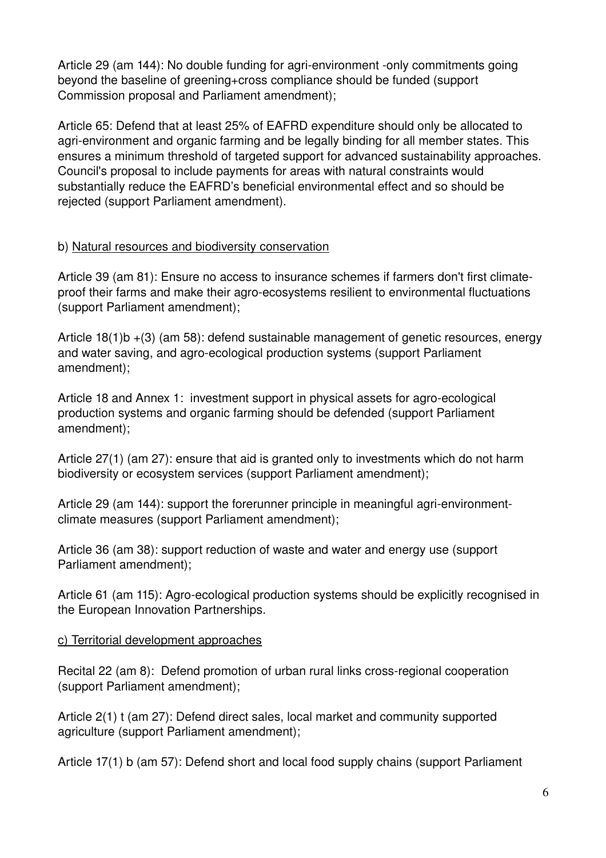Article 29 (am 144): No double funding for agri-environment -only commitments going beyond the baseline of greening+cross compliance should be funded (support Commission proposal and Parliament amendment);

Article 65: Defend that at least 25% of EAFRD expenditure should only be allocated to agri-environment and organic farming and be legally binding for all member states. This ensures a minimum threshold of targeted support for advanced sustainability approaches. Council's proposal to include payments for areas with natural constraints would substantially reduce the EAFRD's beneficial environmental effect and so should be rejected (support Parliament amendment).

# b) Natural resources and biodiversity conservation

Article 39 (am 81): Ensure no access to insurance schemes if farmers don't first climateproof their farms and make their agro-ecosystems resilient to environmental fluctuations (support Parliament amendment);

Article 18(1)b +(3) (am 58): defend sustainable management of genetic resources, energy and water saving, and agro-ecological production systems (support Parliament amendment);

Article 18 and Annex 1: investment support in physical assets for agro-ecological production systems and organic farming should be defended (support Parliament amendment);

Article 27(1) (am 27): ensure that aid is granted only to investments which do not harm biodiversity or ecosystem services (support Parliament amendment);

Article 29 (am 144): support the forerunner principle in meaningful agri-environmentclimate measures (support Parliament amendment);

Article 36 (am 38): support reduction of waste and water and energy use (support Parliament amendment);

Article 61 (am 115): Agro-ecological production systems should be explicitly recognised in the European Innovation Partnerships.

# c) Territorial development approaches

Recital 22 (am 8): Defend promotion of urban rural links cross-regional cooperation (support Parliament amendment);

Article 2(1) t (am 27): Defend direct sales, local market and community supported agriculture (support Parliament amendment);

Article 17(1) b (am 57): Defend short and local food supply chains (support Parliament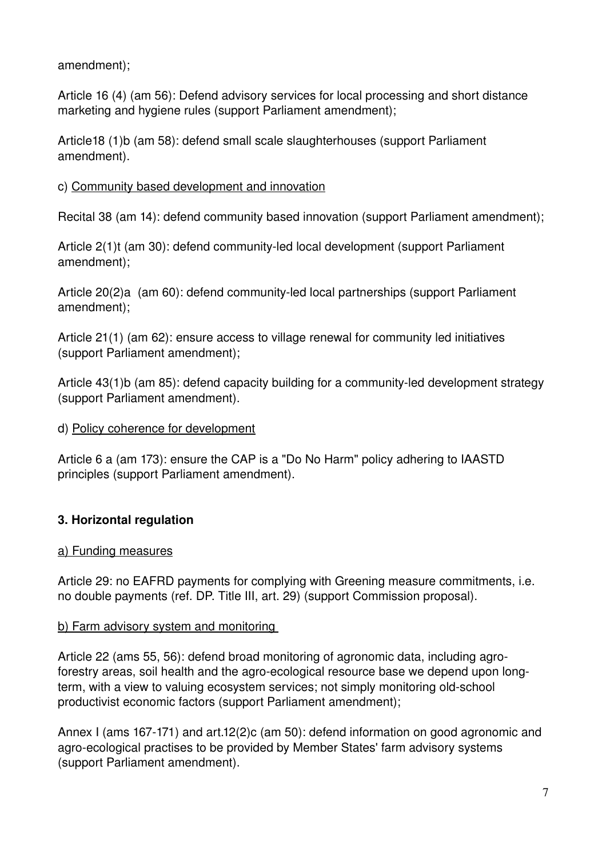amendment);

Article 16 (4) (am 56): Defend advisory services for local processing and short distance marketing and hygiene rules (support Parliament amendment);

Article18 (1)b (am 58): defend small scale slaughterhouses (support Parliament amendment).

# c) Community based development and innovation

Recital 38 (am 14): defend community based innovation (support Parliament amendment);

Article 2(1)t (am 30): defend community-led local development (support Parliament amendment);

Article 20(2)a (am 60): defend community-led local partnerships (support Parliament amendment);

Article 21(1) (am 62): ensure access to village renewal for community led initiatives (support Parliament amendment);

Article 43(1)b (am 85): defend capacity building for a community-led development strategy (support Parliament amendment).

# d) Policy coherence for development

Article 6 a (am 173): ensure the CAP is a "Do No Harm" policy adhering to IAASTD principles (support Parliament amendment).

# **3. Horizontal regulation**

# a) Funding measures

Article 29: no EAFRD payments for complying with Greening measure commitments, i.e. no double payments (ref. DP. Title III, art. 29) (support Commission proposal).

# b) Farm advisory system and monitoring

Article 22 (ams 55, 56): defend broad monitoring of agronomic data, including agroforestry areas, soil health and the agro-ecological resource base we depend upon longterm, with a view to valuing ecosystem services; not simply monitoring old-school productivist economic factors (support Parliament amendment);

Annex I (ams 167171) and art.12(2)c (am 50): defend information on good agronomic and agro-ecological practises to be provided by Member States' farm advisory systems (support Parliament amendment).